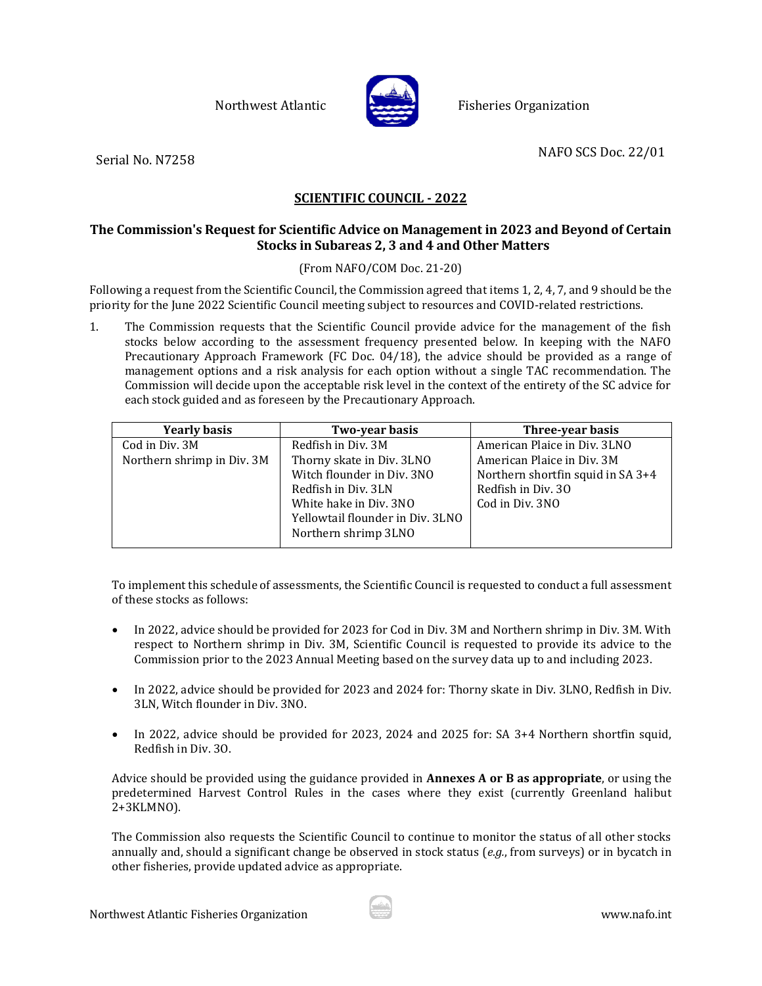Northwest Atlantic **Report Fisheries Organization** 



Serial No. N7258 NAFO SCS Doc. 22/01

# **SCIENTIFIC COUNCIL - 2022**

## **The Commission's Request for Scientific Advice on Management in 2023 and Beyond of Certain Stocks in Subareas 2, 3 and 4 and Other Matters**

## (From NAFO/COM Doc. 21-20)

Following a request from the Scientific Council, the Commission agreed that items 1, 2, 4, 7, and 9 should be the priority for the June 2022 Scientific Council meeting subject to resources and COVID-related restrictions.

1. The Commission requests that the Scientific Council provide advice for the management of the fish stocks below according to the assessment frequency presented below. In keeping with the NAFO Precautionary Approach Framework (FC Doc. 04/18), the advice should be provided as a range of management options and a risk analysis for each option without a single TAC recommendation. The Commission will decide upon the acceptable risk level in the context of the entirety of the SC advice for each stock guided and as foreseen by the Precautionary Approach.

| <b>Yearly basis</b>        | Two-year basis                   | Three-year basis                  |
|----------------------------|----------------------------------|-----------------------------------|
| Cod in Div. 3M             | Redfish in Div. 3M               | American Plaice in Div. 3LNO      |
| Northern shrimp in Div. 3M | Thorny skate in Div. 3LNO        | American Plaice in Div. 3M        |
|                            | Witch flounder in Div. 3NO       | Northern shortfin squid in SA 3+4 |
|                            | Redfish in Div. 3LN              | Redfish in Div. 30                |
|                            | White hake in Div. 3NO           | Cod in Div. 3NO                   |
|                            | Yellowtail flounder in Div. 3LNO |                                   |
|                            | Northern shrimp 3LNO             |                                   |
|                            |                                  |                                   |

To implement this schedule of assessments, the Scientific Council is requested to conduct a full assessment of these stocks as follows:

- In 2022, advice should be provided for 2023 for Cod in Div. 3M and Northern shrimp in Div. 3M. With respect to Northern shrimp in Div. 3M, Scientific Council is requested to provide its advice to the Commission prior to the 2023 Annual Meeting based on the survey data up to and including 2023.
- In 2022, advice should be provided for 2023 and 2024 for: Thorny skate in Div. 3LNO, Redfish in Div. 3LN, Witch flounder in Div. 3NO.
- In 2022, advice should be provided for 2023, 2024 and 2025 for: SA 3+4 Northern shortfin squid, Redfish in Div. 3O.

Advice should be provided using the guidance provided in **Annexes A or B as appropriate**, or using the predetermined Harvest Control Rules in the cases where they exist (currently Greenland halibut 2+3KLMNO).

The Commission also requests the Scientific Council to continue to monitor the status of all other stocks annually and, should a significant change be observed in stock status (*e.g.*, from surveys) or in bycatch in other fisheries, provide updated advice as appropriate.

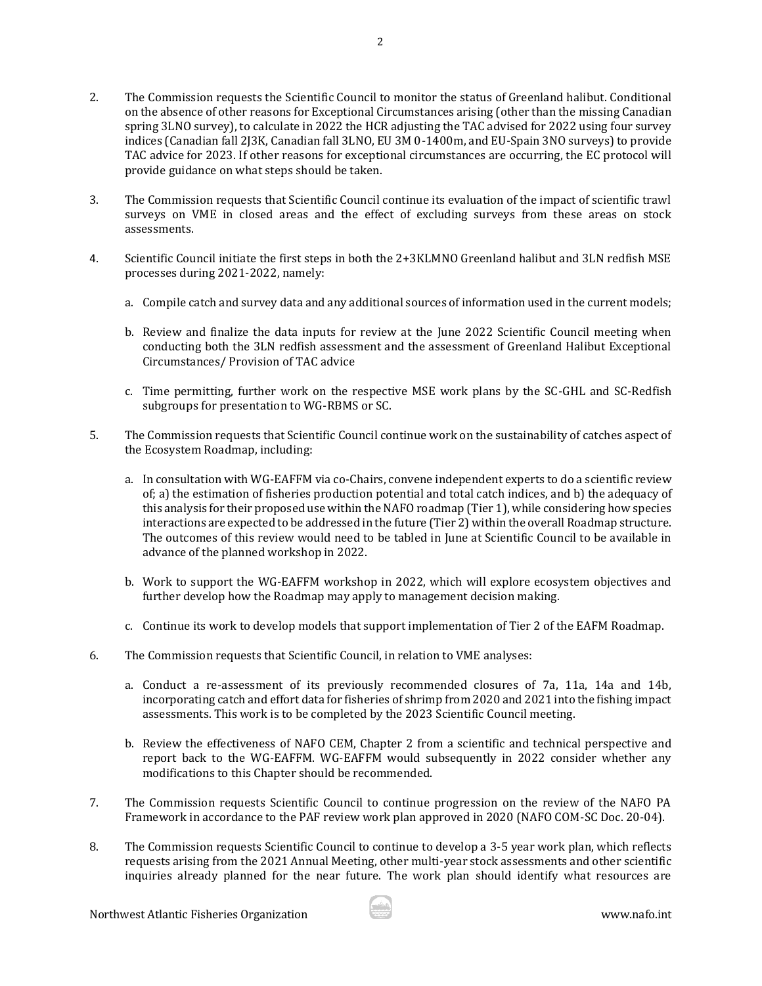- 2. The Commission requests the Scientific Council to monitor the status of Greenland halibut. Conditional on the absence of other reasons for Exceptional Circumstances arising (other than the missing Canadian spring 3LNO survey), to calculate in 2022 the HCR adjusting the TAC advised for 2022 using four survey indices (Canadian fall 2J3K, Canadian fall 3LNO, EU 3M 0-1400m, and EU-Spain 3NO surveys) to provide TAC advice for 2023. If other reasons for exceptional circumstances are occurring, the EC protocol will provide guidance on what steps should be taken.
- 3. The Commission requests that Scientific Council continue its evaluation of the impact of scientific trawl surveys on VME in closed areas and the effect of excluding surveys from these areas on stock assessments.
- 4. Scientific Council initiate the first steps in both the 2+3KLMNO Greenland halibut and 3LN redfish MSE processes during 2021-2022, namely:
	- a. Compile catch and survey data and any additional sources of information used in the current models;
	- b. Review and finalize the data inputs for review at the June 2022 Scientific Council meeting when conducting both the 3LN redfish assessment and the assessment of Greenland Halibut Exceptional Circumstances/ Provision of TAC advice
	- c. Time permitting, further work on the respective MSE work plans by the SC-GHL and SC-Redfish subgroups for presentation to WG-RBMS or SC.
- 5. The Commission requests that Scientific Council continue work on the sustainability of catches aspect of the Ecosystem Roadmap, including:
	- a. In consultation with WG-EAFFM via co-Chairs, convene independent experts to do a scientific review of; a) the estimation of fisheries production potential and total catch indices, and b) the adequacy of this analysis for their proposed use within the NAFO roadmap (Tier 1), while considering how species interactions are expected to be addressed in the future (Tier 2) within the overall Roadmap structure. The outcomes of this review would need to be tabled in June at Scientific Council to be available in advance of the planned workshop in 2022.
	- b. Work to support the WG-EAFFM workshop in 2022, which will explore ecosystem objectives and further develop how the Roadmap may apply to management decision making.
	- c. Continue its work to develop models that support implementation of Tier 2 of the EAFM Roadmap.
- 6. The Commission requests that Scientific Council, in relation to VME analyses:
	- a. Conduct a re-assessment of its previously recommended closures of 7a, 11a, 14a and 14b, incorporating catch and effort data for fisheries of shrimp from 2020 and 2021 into the fishing impact assessments. This work is to be completed by the 2023 Scientific Council meeting.
	- b. Review the effectiveness of NAFO CEM, Chapter 2 from a scientific and technical perspective and report back to the WG-EAFFM. WG-EAFFM would subsequently in 2022 consider whether any modifications to this Chapter should be recommended.
- 7. The Commission requests Scientific Council to continue progression on the review of the NAFO PA Framework in accordance to the PAF review work plan approved in 2020 (NAFO COM-SC Doc. 20-04).
- 8. The Commission requests Scientific Council to continue to develop a 3-5 year work plan, which reflects requests arising from the 2021 Annual Meeting, other multi-year stock assessments and other scientific inquiries already planned for the near future. The work plan should identify what resources are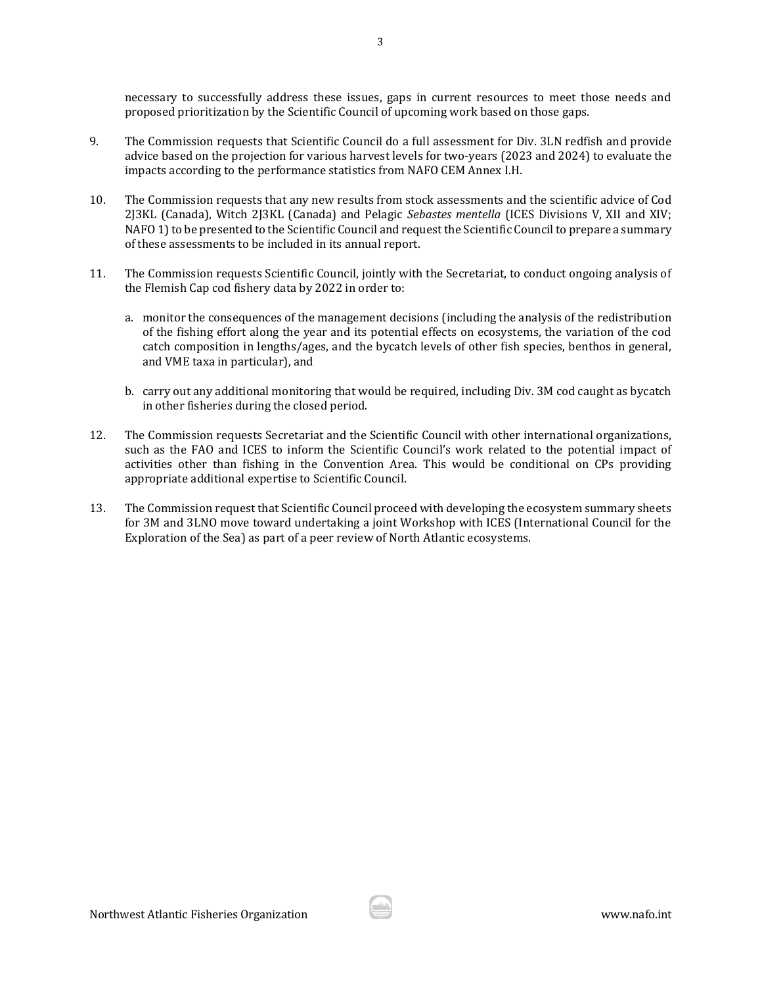necessary to successfully address these issues, gaps in current resources to meet those needs and proposed prioritization by the Scientific Council of upcoming work based on those gaps.

- 9. The Commission requests that Scientific Council do a full assessment for Div. 3LN redfish and provide advice based on the projection for various harvest levels for two-years (2023 and 2024) to evaluate the impacts according to the performance statistics from NAFO CEM Annex I.H.
- 10. The Commission requests that any new results from stock assessments and the scientific advice of Cod 2J3KL (Canada), Witch 2J3KL (Canada) and Pelagic *Sebastes mentella* (ICES Divisions V, XII and XIV; NAFO 1) to be presented to the Scientific Council and request the Scientific Council to prepare a summary of these assessments to be included in its annual report.
- 11. The Commission requests Scientific Council, jointly with the Secretariat, to conduct ongoing analysis of the Flemish Cap cod fishery data by 2022 in order to:
	- a. monitor the consequences of the management decisions (including the analysis of the redistribution of the fishing effort along the year and its potential effects on ecosystems, the variation of the cod catch composition in lengths/ages, and the bycatch levels of other fish species, benthos in general, and VME taxa in particular), and
	- b. carry out any additional monitoring that would be required, including Div. 3M cod caught as bycatch in other fisheries during the closed period.
- 12. The Commission requests Secretariat and the Scientific Council with other international organizations, such as the FAO and ICES to inform the Scientific Council's work related to the potential impact of activities other than fishing in the Convention Area. This would be conditional on CPs providing appropriate additional expertise to Scientific Council.
- 13. The Commission request that Scientific Council proceed with developing the ecosystem summary sheets for 3M and 3LNO move toward undertaking a joint Workshop with ICES (International Council for the Exploration of the Sea) as part of a peer review of North Atlantic ecosystems.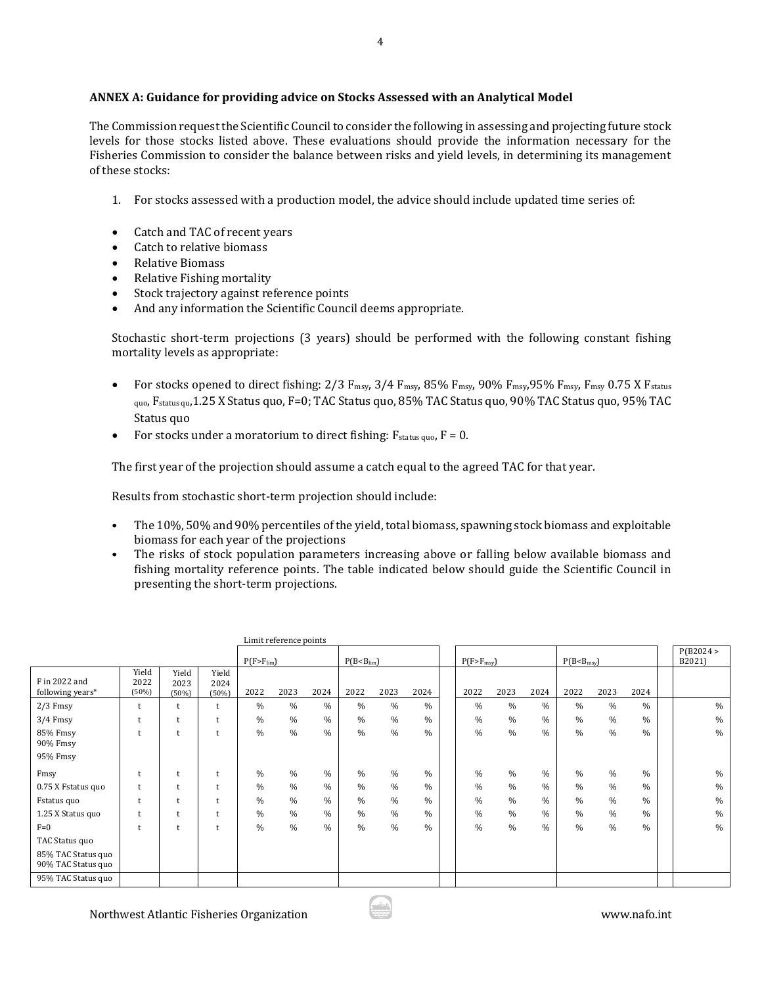### **ANNEX A: Guidance for providing advice on Stocks Assessed with an Analytical Model**

The Commission request the Scientific Council to consider the following in assessing and projecting future stock levels for those stocks listed above. These evaluations should provide the information necessary for the Fisheries Commission to consider the balance between risks and yield levels, in determining its management of these stocks:

- 1. For stocks assessed with a production model, the advice should include updated time series of:
- Catch and TAC of recent years
- Catch to relative biomass
- Relative Biomass
- Relative Fishing mortality
- Stock trajectory against reference points
- And any information the Scientific Council deems appropriate.

Stochastic short-term projections (3 years) should be performed with the following constant fishing mortality levels as appropriate:

- For stocks opened to direct fishing:  $2/3$  F<sub>msy</sub>,  $3/4$  F<sub>msy</sub>,  $85\%$  F<sub>msy</sub>,  $90\%$  F<sub>msy</sub>,  $95\%$  F<sub>msy</sub>, F<sub>msy</sub>, 0.75 X F<sub>status</sub> quo, Fstatus qu,1.25 X Status quo, F=0; TAC Status quo, 85% TAC Status quo, 90% TAC Status quo, 95% TAC Status quo
- For stocks under a moratorium to direct fishing:  $F_{\text{status quo}}$ ,  $F = 0$ .

The first year of the projection should assume a catch equal to the agreed TAC for that year.

Results from stochastic short-term projection should include:

- The 10%, 50% and 90% percentiles of the yield, total biomass, spawning stock biomass and exploitable biomass for each year of the projections
- The risks of stock population parameters increasing above or falling below available biomass and fishing mortality reference points. The table indicated below should guide the Scientific Council in presenting the short-term projections.

| Limit reference points                   |                        |                        |                        |                  |      |      |                         |               |               |  |                |               |               |                  |      |               |  |                     |
|------------------------------------------|------------------------|------------------------|------------------------|------------------|------|------|-------------------------|---------------|---------------|--|----------------|---------------|---------------|------------------|------|---------------|--|---------------------|
|                                          |                        |                        |                        | $P(F > F_{lim})$ |      |      | $P(B < B_{\text{lim}})$ |               |               |  | $P(F>F_{msy})$ |               |               | $P(B < B_{msy})$ |      |               |  | P(B2024 ><br>B2021) |
| F in 2022 and<br>following years*        | Yield<br>2022<br>(50%) | Yield<br>2023<br>(50%) | Yield<br>2024<br>(50%) | 2022             | 2023 | 2024 | 2022                    | 2023          | 2024          |  | 2022           | 2023          | 2024          | 2022             | 2023 | 2024          |  |                     |
| $2/3$ Fmsy                               | $\ddot{}$              |                        |                        | $\%$             | $\%$ | $\%$ | $\%$                    | $\%$          | $\%$          |  | $\%$           | $\%$          | $\%$          | $\%$             | $\%$ | $\%$          |  | $\%$                |
| $3/4$ Fmsy                               |                        |                        |                        | $\%$             | $\%$ | $\%$ | $\%$                    | $\frac{0}{0}$ | $\%$          |  | $\%$           | $\%$          | $\%$          | $\frac{0}{0}$    | $\%$ | $\%$          |  | $\%$                |
| 85% Fmsy<br>90% Fmsy                     | $\ddot{}$              |                        |                        | $\frac{0}{0}$    | %    | $\%$ | $\frac{0}{0}$           | $\frac{0}{0}$ | $\%$          |  | $\%$           | $\%$          | $\%$          | $\frac{0}{0}$    | $\%$ | $\frac{0}{0}$ |  | $\%$                |
| 95% Fmsy                                 |                        |                        |                        |                  |      |      |                         |               |               |  |                |               |               |                  |      |               |  |                     |
| Fmsy                                     |                        |                        |                        | $\%$             | $\%$ | $\%$ | $\frac{0}{0}$           | $\frac{0}{0}$ | $\%$          |  | $\frac{0}{0}$  | $\frac{0}{0}$ | $\%$          | $\frac{0}{0}$    | $\%$ | $\%$          |  | $\%$                |
| 0.75 X Fstatus quo                       | $\ddot{}$              |                        |                        | $\frac{0}{0}$    | $\%$ | $\%$ | $\frac{0}{0}$           | $\frac{0}{0}$ | $\frac{0}{0}$ |  | $\frac{0}{0}$  | $\%$          | $\%$          | $\frac{0}{0}$    | $\%$ | $\frac{0}{0}$ |  | $\%$                |
| Fstatus quo                              |                        |                        |                        | $\frac{0}{0}$    | $\%$ | $\%$ | $\frac{0}{0}$           | $\frac{0}{0}$ | $\frac{0}{0}$ |  | $\%$           | $\%$          | $\%$          | $\frac{0}{0}$    | $\%$ | $\frac{0}{0}$ |  | $\%$                |
| 1.25 X Status quo                        |                        |                        |                        | $\frac{0}{0}$    | $\%$ | $\%$ | $\frac{0}{0}$           | $\frac{0}{0}$ | $\%$          |  | $\frac{0}{0}$  | %             | $\frac{0}{0}$ | $\frac{0}{0}$    | $\%$ | $\frac{0}{0}$ |  | $\%$                |
| $F=0$                                    | $\ddot{}$              |                        |                        | $\frac{0}{0}$    | $\%$ | $\%$ | $\frac{0}{0}$           | $\frac{0}{0}$ | $\%$          |  | $\frac{0}{0}$  | $\%$          | $\%$          | $\frac{0}{0}$    | $\%$ | $\frac{0}{0}$ |  | $\%$                |
| TAC Status quo                           |                        |                        |                        |                  |      |      |                         |               |               |  |                |               |               |                  |      |               |  |                     |
| 85% TAC Status quo<br>90% TAC Status quo |                        |                        |                        |                  |      |      |                         |               |               |  |                |               |               |                  |      |               |  |                     |
| 95% TAC Status quo                       |                        |                        |                        |                  |      |      |                         |               |               |  |                |               |               |                  |      |               |  |                     |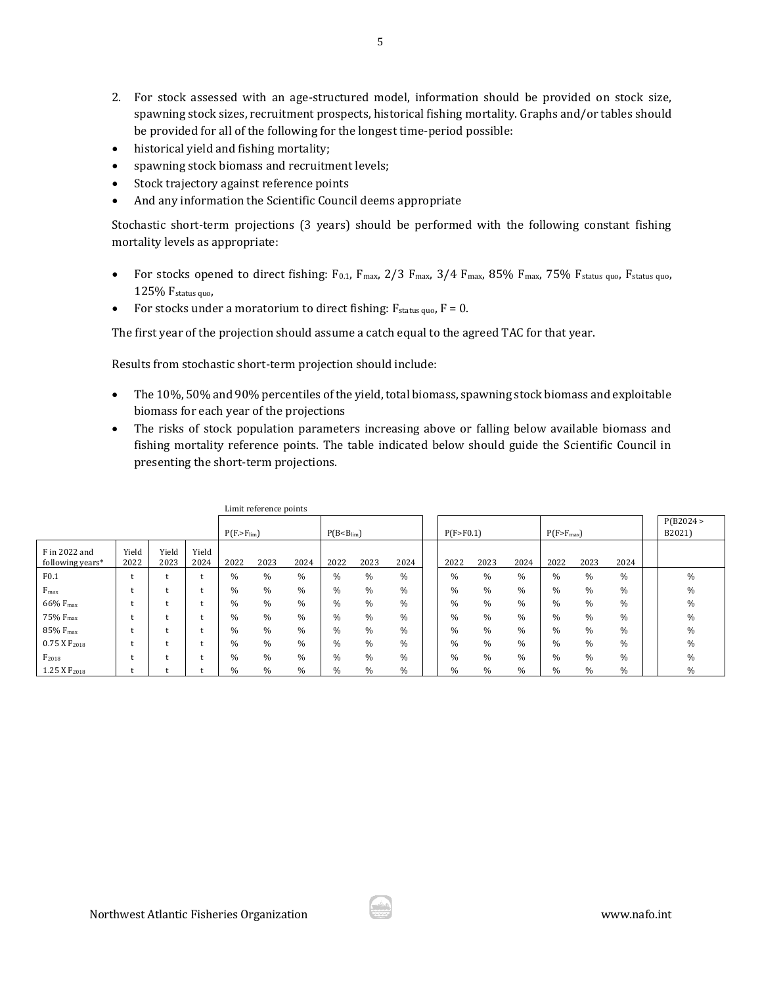- 2. For stock assessed with an age-structured model, information should be provided on stock size, spawning stock sizes, recruitment prospects, historical fishing mortality. Graphs and/or tables should be provided for all of the following for the longest time-period possible:
- historical yield and fishing mortality;
- spawning stock biomass and recruitment levels;
- Stock trajectory against reference points
- And any information the Scientific Council deems appropriate

Stochastic short-term projections (3 years) should be performed with the following constant fishing mortality levels as appropriate:

- For stocks opened to direct fishing: F0.1, F<sub>max</sub>, 2/3 F<sub>max</sub>, 3/4 F<sub>max</sub>, 85% F<sub>max</sub>, 75% F<sub>status quo, Fstatus quo,</sub> 125% Fstatus quo,
- For stocks under a moratorium to direct fishing:  $F_{status quo}$ ,  $F = 0$ .

The first year of the projection should assume a catch equal to the agreed TAC for that year.

Results from stochastic short-term projection should include:

- The 10%, 50% and 90% percentiles of the yield, total biomass, spawning stock biomass and exploitable biomass for each year of the projections
- The risks of stock population parameters increasing above or falling below available biomass and fishing mortality reference points. The table indicated below should guide the Scientific Council in presenting the short-term projections.

| Limit reference points            |               |               |               |                  |               |               |                         |      |      |  |               |               |               |                |      |      |  |                     |
|-----------------------------------|---------------|---------------|---------------|------------------|---------------|---------------|-------------------------|------|------|--|---------------|---------------|---------------|----------------|------|------|--|---------------------|
|                                   |               |               |               | $P(F > F_{lim})$ |               |               | $P(B < B_{\text{lim}})$ |      |      |  | P(F > F0.1)   |               |               | $P(F>F_{max})$ |      |      |  | P(B2024 ><br>B2021) |
| F in 2022 and<br>following years* | Yield<br>2022 | Yield<br>2023 | Yield<br>2024 | 2022             | 2023          | 2024          | 2022                    | 2023 | 2024 |  | 2022          | 2023          | 2024          | 2022           | 2023 | 2024 |  |                     |
| F0.1                              |               |               |               | $\%$             | $\%$          | $\%$          | $\%$                    | $\%$ | %    |  | $\frac{0}{0}$ | %             | $\%$          | %              | %    | $\%$ |  | $\frac{0}{0}$       |
| $F_{\text{max}}$                  |               |               |               | %                | $\frac{0}{0}$ | $\%$          | %                       | $\%$ | $\%$ |  | %             | $\%$          | %             | %              | $\%$ | $\%$ |  | $\frac{0}{0}$       |
| 66% F <sub>max</sub>              |               |               |               | $\%$             | $\frac{0}{0}$ | $\%$          | %                       | $\%$ | %    |  | $\%$          | %             | $\%$          | %              | $\%$ | $\%$ |  | $\frac{0}{0}$       |
| 75% F <sub>max</sub>              |               |               |               | %                | $\frac{0}{0}$ | $\%$          | %                       | $\%$ | %    |  | $\%$          | %             | %             | %              | $\%$ | $\%$ |  | $\frac{0}{0}$       |
| 85% F <sub>max</sub>              |               |               |               | $\frac{0}{0}$    | $\frac{0}{0}$ | $\frac{0}{0}$ | %                       | $\%$ | %    |  | $\%$          | %             | $\%$          | $\%$           | $\%$ | $\%$ |  | $\frac{0}{0}$       |
| $0.75$ X $F_{2018}$               |               |               |               | $\frac{0}{0}$    | $\frac{0}{0}$ | $\frac{0}{0}$ | $\%$                    | $\%$ | %    |  | $\%$          | $\frac{0}{0}$ | $\%$          | %              | $\%$ | $\%$ |  | $\frac{0}{0}$       |
| $F_{2018}$                        |               |               |               | %                | $\frac{0}{0}$ | $\%$          | %                       | %    | %    |  | %             | %             | $\%$          | %              | $\%$ | $\%$ |  | $\frac{0}{0}$       |
| 1.25 X F <sub>2018</sub>          |               |               |               | $\frac{0}{0}$    | $\frac{0}{0}$ | $\%$          | $\%$                    | $\%$ | %    |  | $\%$          | $\%$          | $\frac{0}{0}$ | $\frac{0}{0}$  | $\%$ | $\%$ |  | $\frac{0}{0}$       |

Limit reference points